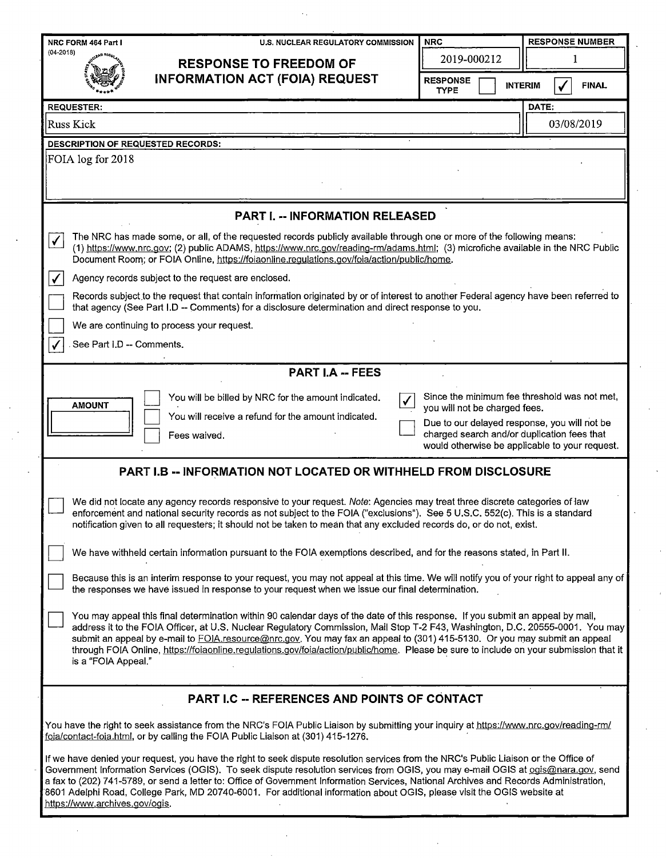| NRC FORM 464 Part I<br><b>U.S. NUCLEAR REGULATORY COMMISSION</b>                                                                                                                                                                                                                                                                                                                                                                                                                                                                                                                  | <b>NRC</b>                                                                                                                                                                                                                     | <b>RESPONSE NUMBER</b>         |  |  |  |  |  |  |  |
|-----------------------------------------------------------------------------------------------------------------------------------------------------------------------------------------------------------------------------------------------------------------------------------------------------------------------------------------------------------------------------------------------------------------------------------------------------------------------------------------------------------------------------------------------------------------------------------|--------------------------------------------------------------------------------------------------------------------------------------------------------------------------------------------------------------------------------|--------------------------------|--|--|--|--|--|--|--|
| $(04 - 2018)$<br><b>RESPONSE TO FREEDOM OF</b>                                                                                                                                                                                                                                                                                                                                                                                                                                                                                                                                    | 2019-000212                                                                                                                                                                                                                    | 1                              |  |  |  |  |  |  |  |
| <b>INFORMATION ACT (FOIA) REQUEST</b>                                                                                                                                                                                                                                                                                                                                                                                                                                                                                                                                             | <b>RESPONSE</b><br><b>TYPE</b>                                                                                                                                                                                                 | <b>INTERIM</b><br><b>FINAL</b> |  |  |  |  |  |  |  |
| <b>REQUESTER:</b><br>DATE:                                                                                                                                                                                                                                                                                                                                                                                                                                                                                                                                                        |                                                                                                                                                                                                                                |                                |  |  |  |  |  |  |  |
| <b>Russ Kick</b>                                                                                                                                                                                                                                                                                                                                                                                                                                                                                                                                                                  |                                                                                                                                                                                                                                | 03/08/2019                     |  |  |  |  |  |  |  |
| <b>DESCRIPTION OF REQUESTED RECORDS:</b>                                                                                                                                                                                                                                                                                                                                                                                                                                                                                                                                          |                                                                                                                                                                                                                                |                                |  |  |  |  |  |  |  |
| FOIA log for 2018                                                                                                                                                                                                                                                                                                                                                                                                                                                                                                                                                                 |                                                                                                                                                                                                                                |                                |  |  |  |  |  |  |  |
| <b>PART I. -- INFORMATION RELEASED</b>                                                                                                                                                                                                                                                                                                                                                                                                                                                                                                                                            |                                                                                                                                                                                                                                |                                |  |  |  |  |  |  |  |
| The NRC has made some, or all, of the requested records publicly available through one or more of the following means:<br>$\checkmark$<br>(1) https://www.nrc.gov; (2) public ADAMS, https://www.nrc.gov/reading-rm/adams.html; (3) microfiche available in the NRC Public<br>Document Room; or FOIA Online, https://foiaonline.regulations.gov/foia/action/public/home.                                                                                                                                                                                                          |                                                                                                                                                                                                                                |                                |  |  |  |  |  |  |  |
| Agency records subject to the request are enclosed.<br>✓                                                                                                                                                                                                                                                                                                                                                                                                                                                                                                                          |                                                                                                                                                                                                                                |                                |  |  |  |  |  |  |  |
| Records subject to the request that contain information originated by or of interest to another Federal agency have been referred to<br>that agency (See Part I.D -- Comments) for a disclosure determination and direct response to you.                                                                                                                                                                                                                                                                                                                                         |                                                                                                                                                                                                                                |                                |  |  |  |  |  |  |  |
| We are continuing to process your request.                                                                                                                                                                                                                                                                                                                                                                                                                                                                                                                                        |                                                                                                                                                                                                                                |                                |  |  |  |  |  |  |  |
| See Part I.D -- Comments.                                                                                                                                                                                                                                                                                                                                                                                                                                                                                                                                                         |                                                                                                                                                                                                                                |                                |  |  |  |  |  |  |  |
| <b>PART I.A -- FEES</b>                                                                                                                                                                                                                                                                                                                                                                                                                                                                                                                                                           |                                                                                                                                                                                                                                |                                |  |  |  |  |  |  |  |
| You will be billed by NRC for the amount indicated.<br><b>AMOUNT</b><br>You will receive a refund for the amount indicated.<br>Fees waived.                                                                                                                                                                                                                                                                                                                                                                                                                                       | Since the minimum fee threshold was not met,<br>you will not be charged fees.<br>Due to our delayed response, you will not be<br>charged search and/or duplication fees that<br>would otherwise be applicable to your request. |                                |  |  |  |  |  |  |  |
| <b>PART I.B -- INFORMATION NOT LOCATED OR WITHHELD FROM DISCLOSURE</b>                                                                                                                                                                                                                                                                                                                                                                                                                                                                                                            |                                                                                                                                                                                                                                |                                |  |  |  |  |  |  |  |
| We did not locate any agency records responsive to your request. Note: Agencies may treat three discrete categories of law<br>enforcement and national security records as not subject to the FOIA ("exclusions"). See 5 U.S.C. 552(c). This is a standard<br>notification given to all requesters; it should not be taken to mean that any excluded records do, or do not, exist.                                                                                                                                                                                                |                                                                                                                                                                                                                                |                                |  |  |  |  |  |  |  |
| We have withheld certain information pursuant to the FOIA exemptions described, and for the reasons stated, in Part II.                                                                                                                                                                                                                                                                                                                                                                                                                                                           |                                                                                                                                                                                                                                |                                |  |  |  |  |  |  |  |
| Because this is an interim response to your request, you may not appeal at this time. We will notify you of your right to appeal any of<br>the responses we have issued in response to your request when we issue our final determination.                                                                                                                                                                                                                                                                                                                                        |                                                                                                                                                                                                                                |                                |  |  |  |  |  |  |  |
| You may appeal this final determination within 90 calendar days of the date of this response. If you submit an appeal by mail,<br>address it to the FOIA Officer, at U.S. Nuclear Regulatory Commission, Mail Stop T-2 F43, Washington, D.C. 20555-0001. You may<br>submit an appeal by e-mail to FOIA.resource@nrc.gov. You may fax an appeal to (301) 415-5130. Or you may submit an appeal<br>through FOIA Online, https://foiaonline.regulations.gov/foia/action/public/home. Please be sure to include on your submission that it<br>is a "FOIA Appeal."                     |                                                                                                                                                                                                                                |                                |  |  |  |  |  |  |  |
| PART I.C -- REFERENCES AND POINTS OF CONTACT                                                                                                                                                                                                                                                                                                                                                                                                                                                                                                                                      |                                                                                                                                                                                                                                |                                |  |  |  |  |  |  |  |
| You have the right to seek assistance from the NRC's FOIA Public Liaison by submitting your inquiry at https://www.nrc.gov/reading-rm/<br>foia/contact-foia.html, or by calling the FOIA Public Liaison at (301) 415-1276.                                                                                                                                                                                                                                                                                                                                                        |                                                                                                                                                                                                                                |                                |  |  |  |  |  |  |  |
| If we have denied your request, you have the right to seek dispute resolution services from the NRC's Public Liaison or the Office of<br>Government Information Services (OGIS). To seek dispute resolution services from OGIS, you may e-mail OGIS at ogis@nara.gov, send<br>a fax to (202) 741-5789, or send a letter to: Office of Government Information Services, National Archives and Records Administration,<br>8601 Adelphi Road, College Park, MD 20740-6001. For additional information about OGIS, please visit the OGIS website at<br>https://www.archives.gov/ogis. |                                                                                                                                                                                                                                |                                |  |  |  |  |  |  |  |